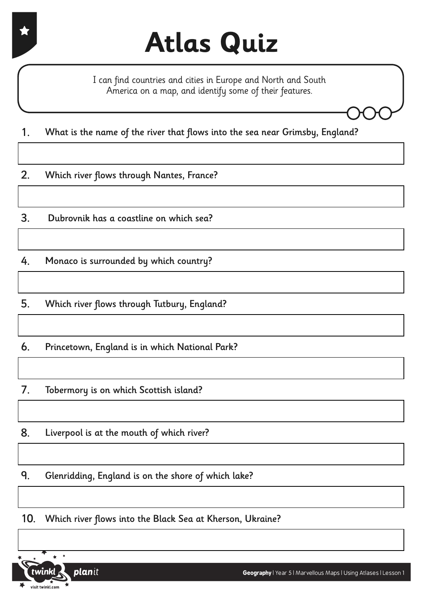I can find countries and cities in Europe and North and South America on a map, and identify some of their features.

1. What is the name of the river that flows into the sea near Grimsby, England?

2. Which river flows through Nantes, France?

3. Dubrovnik has a coastline on which sea?

4. Monaco is surrounded by which country?

5. Which river flows through Tutbury, England?

6. Princetown, England is in which National Park?

7. Tobermory is on which Scottish island?

8. Liverpool is at the mouth of which river?

9. Glenridding, England is on the shore of which lake?

10. Which river flows into the Black Sea at Kherson, Ukraine?

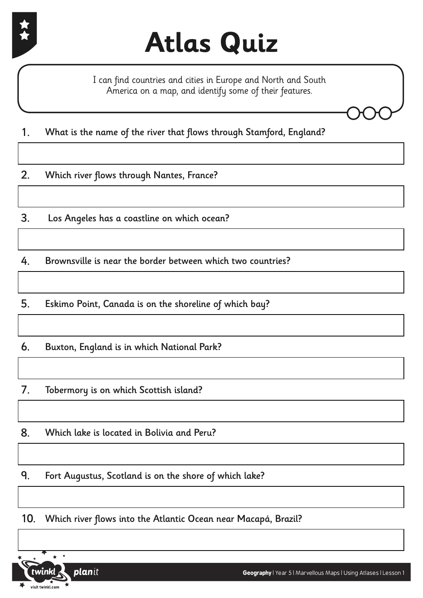

I can find countries and cities in Europe and North and South America on a map, and identify some of their features.

1. What is the name of the river that flows through Stamford, England?

2. Which river flows through Nantes, France?

3. Los Angeles has a coastline on which ocean?

4. Brownsville is near the border between which two countries?

5. Eskimo Point, Canada is on the shoreline of which bay?

6. Buxton, England is in which National Park?

7. Tobermory is on which Scottish island?

8. Which lake is located in Bolivia and Peru?

9. Fort Augustus, Scotland is on the shore of which lake?

10. Which river flows into the Atlantic Ocean near Macapá, Brazil?



**Geography** | Year 5 | Marvellous Maps | Using Atlases | Lesson 1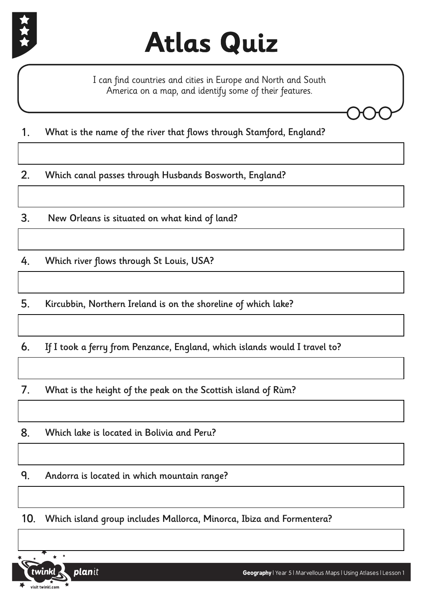

I can find countries and cities in Europe and North and South America on a map, and identify some of their features.

1. What is the name of the river that flows through Stamford, England?

2. Which canal passes through Husbands Bosworth, England?

3. New Orleans is situated on what kind of land?

4. Which river flows through St Louis, USA?

5. Kircubbin, Northern Ireland is on the shoreline of which lake?

6. If I took a ferry from Penzance, England, which islands would I travel to?

7. What is the height of the peak on the Scottish island of Rùm?

8. Which lake is located in Bolivia and Peru?

9. Andorra is located in which mountain range?

10. Which island group includes Mallorca, Minorca, Ibiza and Formentera?